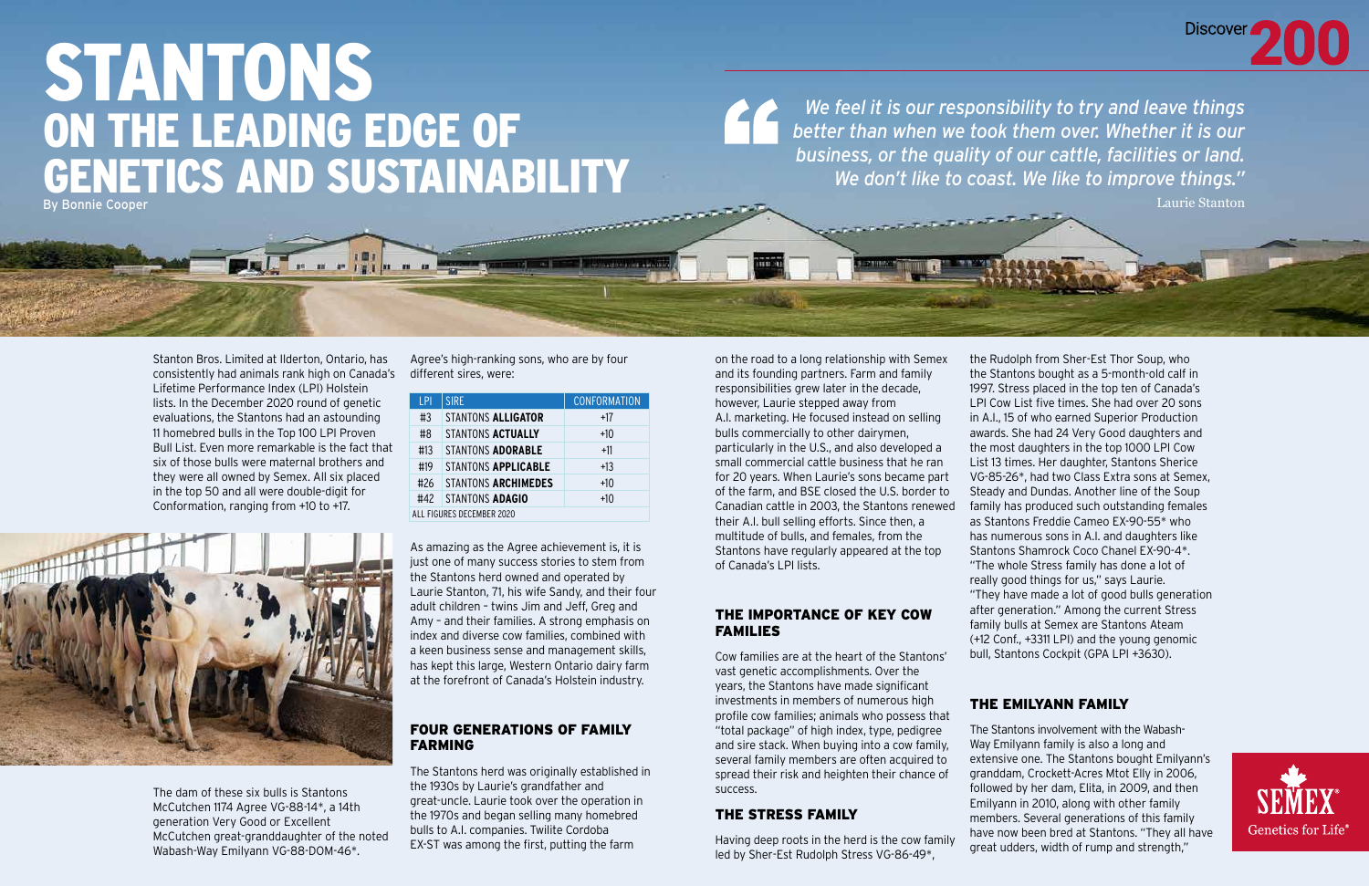# STANTONS ON THE LEADING EDGE OF GENETICS AND SUSTAINABILITY By Bonnie Cooper

**La Radio de Parado** 

**EN 82** 

Stanton Bros. Limited at Ilderton, Ontario, has consistently had animals rank high on Canada's different sires, were: Lifetime Performance Index (LPI) Holstein lists. In the December 2020 round of genetic evaluations, the Stantons had an astounding 11 homebred bulls in the Top 100 LPI Proven Bull List. Even more remarkable is the fact that six of those bulls were maternal brothers and they were all owned by Semex. All six placed in the top 50 and all were double-digit for Conformation, ranging from +10 to +17.

The dam of these six bulls is Stantons McCutchen 1174 Agree VG-88-14\*, a 14th generation Very Good or Excellent McCutchen great-granddaughter of the noted Wabash-Way Emilyann VG-88-DOM-46\*.

Agree's high-ranking sons, who are by four

As amazing as the Agree achievement is, it is just one of many success stories to stem from the Stantons herd owned and operated by Laurie Stanton, 71, his wife Sandy, and their four adult children – twins Jim and Jeff, Greg and Amy – and their families. A strong emphasis on index and diverse cow families, combined with a keen business sense and management skills, has kept this large, Western Ontario dairy farm at the forefront of Canada's Holstein industry.

### FOUR GENERATIONS OF FAMILY FARMING

The Stantons herd was originally established in the 1930s by Laurie's grandfather and great-uncle. Laurie took over the operation in the 1970s and began selling many homebred bulls to A.I. companies. Twilite Cordoba EX-ST was among the first, putting the farm

| P                         | <b>SIRE</b>         | <b>CONFORMATION</b> |
|---------------------------|---------------------|---------------------|
| #3                        | STANTONS ALLIGATOR  | +17                 |
| #8                        | STANTONS ACTUALLY   | $+10$               |
| #13                       | STANTONS ADORABLE   | $+11$               |
| #19                       | STANTONS APPLICABLE | $+13$               |
| #26                       | STANTONS ARCHIMEDES | $+10$               |
| #42                       | STANTONS ADAGIO     | $+10$               |
| ALL FIGURES DECEMBER 2020 |                     |                     |



on the road to a long relationship with Semex and its founding partners. Farm and family responsibilities grew later in the decade, however, Laurie stepped away from A.I. marketing. He focused instead on selling bulls commercially to other dairymen, particularly in the U.S., and also developed a small commercial cattle business that he ran for 20 years. When Laurie's sons became part of the farm, and BSE closed the U.S. border to Canadian cattle in 2003, the Stantons renewed their A.I. bull selling efforts. Since then, a multitude of bulls, and females, from the Stantons have regularly appeared at the top of Canada's LPI lists.

### THE IMPORTANCE OF KEY COW FAMILIES

Cow families are at the heart of the Stantons' vast genetic accomplishments. Over the years, the Stantons have made significant investments in members of numerous high profile cow families; animals who possess that "total package" of high index, type, pedigree and sire stack. When buying into a cow family, several family members are often acquired to spread their risk and heighten their chance of success.

### THE STRESS FAMILY

Having deep roots in the herd is the cow family led by Sher-Est Rudolph Stress VG-86-49\*,

the Rudolph from Sher-Est Thor Soup, who the Stantons bought as a 5-month-old calf in 1997. Stress placed in the top ten of Canada's LPI Cow List five times. She had over 20 sons in A.I., 15 of who earned Superior Production awards. She had 24 Very Good daughters and the most daughters in the top 1000 LPI Cow List 13 times. Her daughter, Stantons Sherice VG-85-26\*, had two Class Extra sons at Semex, Steady and Dundas. Another line of the Soup family has produced such outstanding females as Stantons Freddie Cameo EX-90-55\* who has numerous sons in A.I. and daughters like Stantons Shamrock Coco Chanel EX-90-4\*. "The whole Stress family has done a lot of really good things for us," says Laurie. "They have made a lot of good bulls generation after generation." Among the current Stress family bulls at Semex are Stantons Ateam (+12 Conf., +3311 LPI) and the young genomic bull, Stantons Cockpit (GPA LPI +3630).

### THE EMILYANN FAMILY

The Stantons involvement with the Wabash-Way Emilyann family is also a long and extensive one. The Stantons bought Emilyann's granddam, Crockett-Acres Mtot Elly in 2006, followed by her dam, Elita, in 2009, and then Emilyann in 2010, along with other family members. Several generations of this family have now been bred at Stantons. "They all have great udders, width of rump and strength,"



*We feel it is our responsibility to try and leave things better than when we took them over. Whether it is our business, or the quality of our cattle, facilities or land. We don't like to coast. We like to improve things."*

Laurie Stanton

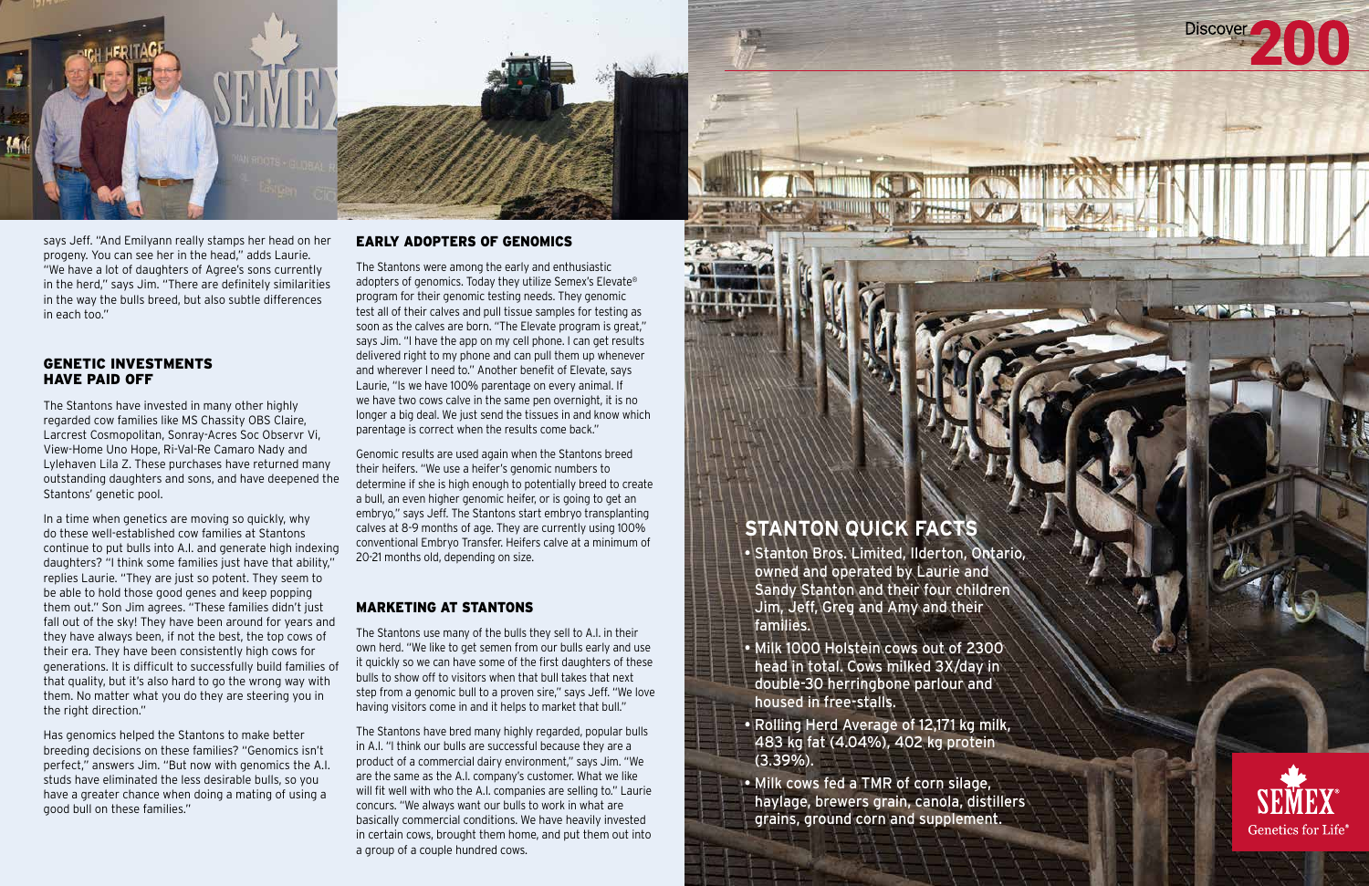## **STANTON QUICK FACTS**

- Stanton Bros. Limited, Ilderton, Ontario, owned and operated by Laurie and Sandy Stanton and their four children Jim, Jeff, Greg and Amy and their families.
- Milk 1000 Holstein cows out of 2300 head in total. Cows milked 3X/day in double-30 herringbone parlour and housed in free-stalls.
- Rolling Herd Average of 12,171 kg milk, 483 kg fat (4.04%), 402 kg protein (3.39%).
- Milk cows fed a TMR of corn silage, haylage, brewers grain, canola, distillers grains, ground corn and supplement.





says Jeff. "And Emilyann really stamps her head on her progeny. You can see her in the head," adds Laurie. "We have a lot of daughters of Agree's sons currently in the herd," says Jim. "There are definitely similarities in the way the bulls breed, but also subtle differences in each too."

### GENETIC INVESTMENTS HAVE PAID OFF

The Stantons have invested in many other highly regarded cow families like MS Chassity OBS Claire, Larcrest Cosmopolitan, Sonray-Acres Soc Observr Vi, View-Home Uno Hope, Ri-Val-Re Camaro Nady and Lylehaven Lila Z. These purchases have returned many outstanding daughters and sons, and have deepened the Stantons' genetic pool.

In a time when genetics are moving so quickly, why do these well-established cow families at Stantons continue to put bulls into A.I. and generate high indexing daughters? "I think some families just have that ability," replies Laurie. "They are just so potent. They seem to be able to hold those good genes and keep popping them out." Son Jim agrees. "These families didn't just fall out of the sky! They have been around for years and they have always been, if not the best, the top cows of their era. They have been consistently high cows for generations. It is difficult to successfully build families of that quality, but it's also hard to go the wrong way with them. No matter what you do they are steering you in the right direction."

Has genomics helped the Stantons to make better breeding decisions on these families? "Genomics isn't perfect," answers Jim. "But now with genomics the A.I. studs have eliminated the less desirable bulls, so you have a greater chance when doing a mating of using a good bull on these families."

### EARLY ADOPTERS OF GENOMICS

The Stantons were among the early and enthusiastic adopters of genomics. Today they utilize Semex's Elevate® program for their genomic testing needs. They genomic test all of their calves and pull tissue samples for testing as soon as the calves are born. "The Elevate program is great," says Jim. "I have the app on my cell phone. I can get results delivered right to my phone and can pull them up whenever and wherever I need to." Another benefit of Elevate, says Laurie, "Is we have 100% parentage on every animal. If we have two cows calve in the same pen overnight, it is no longer a big deal. We just send the tissues in and know which parentage is correct when the results come back."

Genomic results are used again when the Stantons breed their heifers. "We use a heifer's genomic numbers to determine if she is high enough to potentially breed to create a bull, an even higher genomic heifer, or is going to get an embryo," says Jeff. The Stantons start embryo transplanting calves at 8-9 months of age. They are currently using 100% conventional Embryo Transfer. Heifers calve at a minimum of 20-21 months old, depending on size.

### MARKETING AT STANTONS

The Stantons use many of the bulls they sell to A.I. in their own herd. "We like to get semen from our bulls early and use it quickly so we can have some of the first daughters of these bulls to show off to visitors when that bull takes that next step from a genomic bull to a proven sire," says Jeff. "We love having visitors come in and it helps to market that bull."

The Stantons have bred many highly regarded, popular bulls in A.I. "I think our bulls are successful because they are a product of a commercial dairy environment," says Jim. "We are the same as the A.I. company's customer. What we like will fit well with who the A.I. companies are selling to." Laurie concurs. "We always want our bulls to work in what are basically commercial conditions. We have heavily invested in certain cows, brought them home, and put them out into a group of a couple hundred cows.